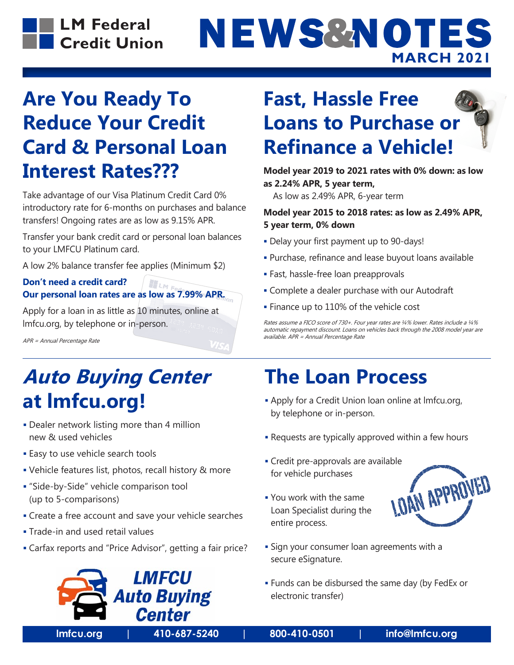



### **Are You Ready To Reduce Your Credit Card & Personal Loan Interest Rates???**

Take advantage of our Visa Platinum Credit Card 0% introductory rate for 6-months on purchases and balance transfers! Ongoing rates are as low as 9.15% APR.

Transfer your bank credit card or personal loan balances to your LMFCU Platinum card.

A low 2% balance transfer fee applies (Minimum \$2)

#### **Don't need a credit card? ILME Our personal loan rates are as low as 7.99% APR.**

Apply for a loan in as little as 10 minutes, online at lmfcu.org, by telephone or in-person.

APR = Annual Percentage Rate

# **Auto Buying Center at lmfcu.org!**

- Dealer network listing more than 4 million new & used vehicles
- **Easy to use vehicle search tools**
- Vehicle features list, photos, recall history & more
- "Side-by-Side" vehicle comparison tool (up to 5-comparisons)
- Create a free account and save your vehicle searches
- **Trade-in and used retail values**
- Carfax reports and "Price Advisor", getting a fair price?



#### **Fast, Hassle Free Loans to Purchase or Refinance a Vehicle!**

**Model year 2019 to 2021 rates with 0% down: as low as 2.24% APR, 5 year term,**

As low as 2.49% APR, 6-year term

#### **Model year 2015 to 2018 rates: as low as 2.49% APR, 5 year term, 0% down**

- Delay your first payment up to 90-days!
- Purchase, refinance and lease buyout loans available
- Fast, hassle-free loan preapprovals
- Complete a dealer purchase with our Autodraft
- **Finance up to 110% of the vehicle cost**

Rates assume a FICO score of 730+. Four year rates are ¼% lower. Rates include a ¼% automatic repayment discount. Loans on vehicles back through the 2008 model year are available. APR = Annual Percentage Rate

#### **The Loan Process**

- Apply for a Credit Union loan online at lmfcu.org, by telephone or in-person.
- **-** Requests are typically approved within a few hours
- Credit pre-approvals are available for vehicle purchases
- You work with the same Loan Specialist during the entire process.



- **Sign your consumer loan agreements with a** secure eSignature.
- Funds can be disbursed the same day (by FedEx or electronic transfer)